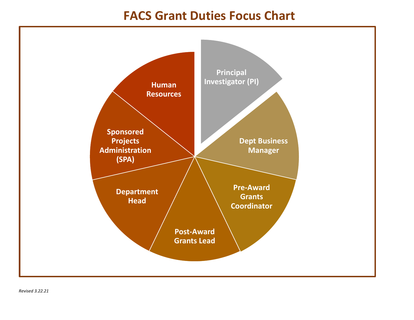# **FACS Grant Duties Focus Chart**

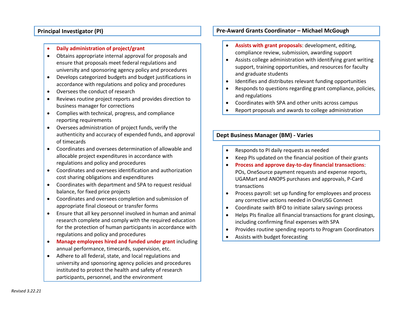# **Principal Investigator (PI)**

### • **Daily administration of project/grant**

- Obtains appropriate internal approval for proposals and ensure that proposals meet federal regulations and university and sponsoring agency policy and procedures
- Develops categorized budgets and budget justifications in accordance with regulations and policy and procedures
- Oversees the conduct of research
- Reviews routine project reports and provides direction to business manager for corrections
- Complies with technical, progress, and compliance reporting requirements
- Oversees administration of project funds, verify the authenticity and accuracy of expended funds, and approval of timecards
- Coordinates and oversees determination of allowable and allocable project expenditures in accordance with regulations and policy and procedures
- Coordinates and oversees identification and authorization cost sharing obligations and expenditures
- Coordinates with department and SPA to request residual balance, for fixed price projects
- Coordinates and oversees completion and submission of appropriate final closeout or transfer forms
- Ensure that all key personnel involved in human and animal research complete and comply with the required education for the protection of human participants in accordance with regulations and policy and procedures
- **Manage employees hired and funded under grant** including annual performance, timecards, supervision, etc.
- Adhere to all federal, state, and local regulations and university and sponsoring agency policies and procedures instituted to protect the health and safety of research participants, personnel, and the environment

# **Pre-Award Grants Coordinator – Michael McGough**

- **Assists with grant proposals**: development, editing, compliance review, submission, awarding support
- Assists college administration with identifying grant writing support, training opportunities, and resources for faculty and graduate students
- Identifies and distributes relevant funding opportunities
- Responds to questions regarding grant compliance, policies, and regulations
- Coordinates with SPA and other units across campus
- Report proposals and awards to college administration

# **Dept Business Manager (BM) - Varies**

- Responds to PI daily requests as needed
- Keep PIs updated on the financial position of their grants
- **Process and approve day-to-day financial transactions**: POs, OneSource payment requests and expense reports, UGAMart and ANOPS purchases and approvals, P-Card transactions
- Process payroll: set up funding for employees and process any corrective actions needed in OneUSG Connect
- Coordinate swith BFO to initiate salary savings process
- Helps PIs finalize all financial transactions for grant closings, including confirming final expenses with SPA
- Provides routine spending reports to Program Coordinators
- Assists with budget forecasting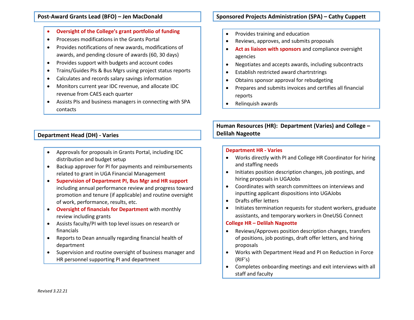## **Post-Award Grants Lead (BFO) – Jen MacDonald**

- **Oversight of the College's grant portfolio of funding**
- Processes modifications in the Grants Portal
- Provides notifications of new awards, modifications of awards, and pending closure of awards (60, 30 days)
- Provides support with budgets and account codes
- Trains/Guides PIs & Bus Mgrs using project status reports
- Calculates and records salary savings information
- Monitors current year IDC revenue, and allocate IDC revenue from CAES each quarter
- Assists PIs and business managers in connecting with SPA contacts

# **Department Head (DH) - Varies**

- Approvals for proposals in Grants Portal, including IDC distribution and budget setup
- Backup approver for PI for payments and reimbursements related to grant in UGA Financial Management
- **Supervision of Department PI, Bus Mgr and HR support** including annual performance review and progress toward promotion and tenure (if applicable) and routine oversight of work, performance, results, etc.
- **Oversight of financials for Department** with monthly review including grants
- Assists faculty/PI with top level issues on research or financials
- Reports to Dean annually regarding financial health of department
- Supervision and routine oversight of business manager and HR personnel supporting PI and department

# **Sponsored Projects Administration (SPA) – Cathy Cuppett**

- Provides training and education
- Reviews, approves, and submits proposals
- **Act as liaison with sponsors** and compliance oversight agencies
- Negotiates and accepts awards, including subcontracts
- Establish restricted award chartrstrings
- Obtains sponsor approval for rebudgeting
- Prepares and submits invoices and certifies all financial reports
- Relinquish awards

**Human Resources (HR): Department (Varies) and College – Delilah Nageotte**

#### **Department HR - Varies**

- Works directly with PI and College HR Coordinator for hiring and staffing needs
- Initiates position description changes, job postings, and hiring proposals in UGAJobs
- Coordinates with search committees on interviews and inputting applicant dispositions into UGAJobs
- Drafts offer letters
- Initiates termination requests for student workers, graduate assistants, and temporary workers in OneUSG Connect

#### **College HR – Delilah Nageotte**

- Reviews/Approves position description changes, transfers of positions, job postings, draft offer letters, and hiring proposals
- Works with Department Head and PI on Reduction in Force (RIF's)
- Completes onboarding meetings and exit interviews with all staff and faculty